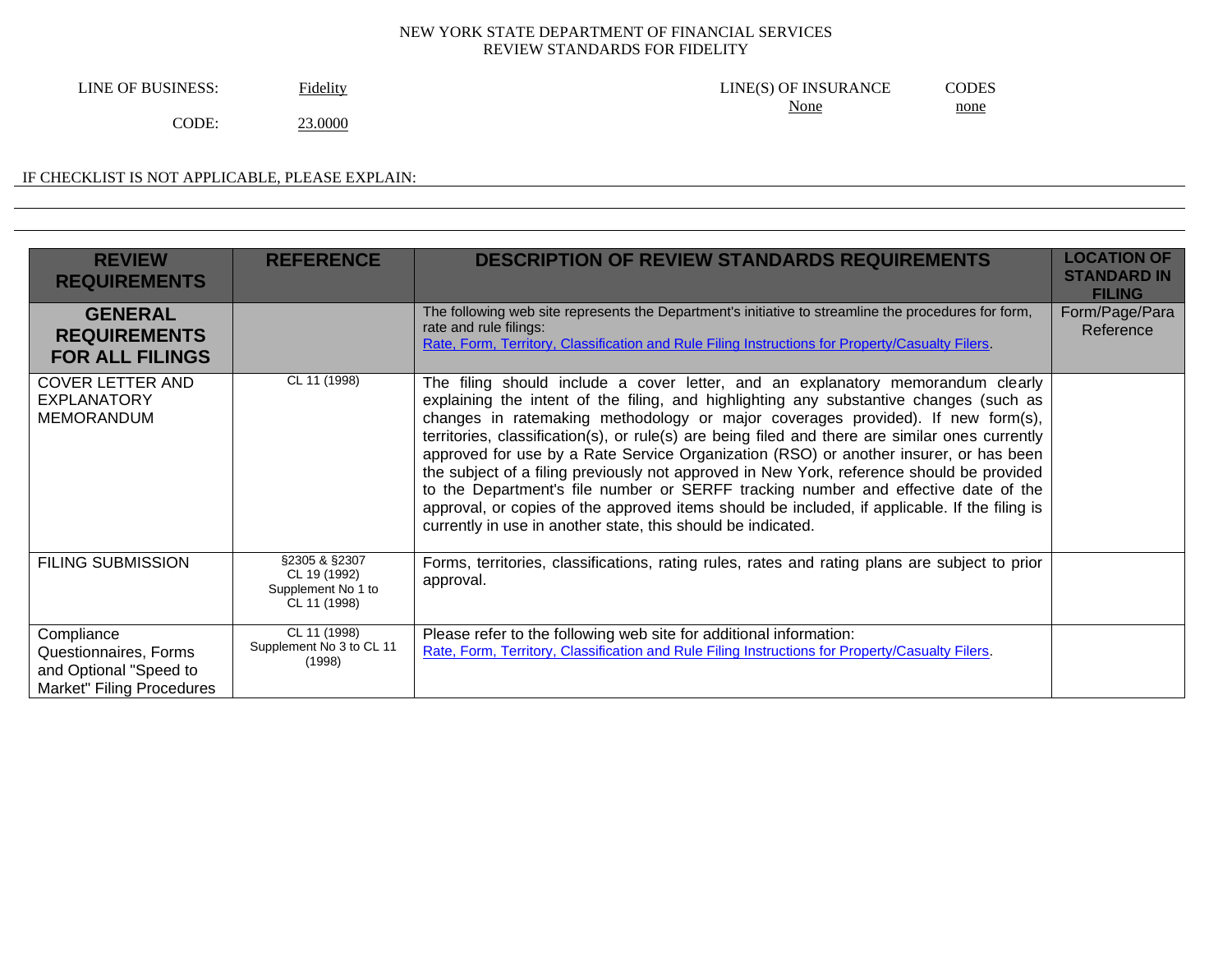LINE OF BUSINESS: Fidelity Fidelity Fidelity ELINE(S) OF INSURANCE CODES None none

CODE: 23.0000

# IF CHECKLIST IS NOT APPLICABLE, PLEASE EXPLAIN:

| <b>REVIEW</b><br><b>REQUIREMENTS</b>                                                       | <b>REFERENCE</b>                                                    | <b>DESCRIPTION OF REVIEW STANDARDS REQUIREMENTS</b>                                                                                                                                                                                                                                                                                                                                                                                                                                                                                                                                                                                                                                                                                                                                                          | <b>LOCATION OF</b><br><b>STANDARD IN</b><br><b>FILING</b> |
|--------------------------------------------------------------------------------------------|---------------------------------------------------------------------|--------------------------------------------------------------------------------------------------------------------------------------------------------------------------------------------------------------------------------------------------------------------------------------------------------------------------------------------------------------------------------------------------------------------------------------------------------------------------------------------------------------------------------------------------------------------------------------------------------------------------------------------------------------------------------------------------------------------------------------------------------------------------------------------------------------|-----------------------------------------------------------|
| <b>GENERAL</b><br><b>REQUIREMENTS</b><br><b>FOR ALL FILINGS</b>                            |                                                                     | The following web site represents the Department's initiative to streamline the procedures for form,<br>rate and rule filings:<br>Rate, Form, Territory, Classification and Rule Filing Instructions for Property/Casualty Filers.                                                                                                                                                                                                                                                                                                                                                                                                                                                                                                                                                                           | Form/Page/Para<br>Reference                               |
| <b>COVER LETTER AND</b><br><b>EXPLANATORY</b><br><b>MEMORANDUM</b>                         | CL 11 (1998)                                                        | The filing should include a cover letter, and an explanatory memorandum clearly<br>explaining the intent of the filing, and highlighting any substantive changes (such as<br>changes in ratemaking methodology or major coverages provided). If new form(s),<br>territories, classification(s), or rule(s) are being filed and there are similar ones currently<br>approved for use by a Rate Service Organization (RSO) or another insurer, or has been<br>the subject of a filing previously not approved in New York, reference should be provided<br>to the Department's file number or SERFF tracking number and effective date of the<br>approval, or copies of the approved items should be included, if applicable. If the filing is<br>currently in use in another state, this should be indicated. |                                                           |
| <b>FILING SUBMISSION</b>                                                                   | §2305 & §2307<br>CL 19 (1992)<br>Supplement No 1 to<br>CL 11 (1998) | Forms, territories, classifications, rating rules, rates and rating plans are subject to prior<br>approval.                                                                                                                                                                                                                                                                                                                                                                                                                                                                                                                                                                                                                                                                                                  |                                                           |
| Compliance<br>Questionnaires, Forms<br>and Optional "Speed to<br>Market" Filing Procedures | CL 11 (1998)<br>Supplement No 3 to CL 11<br>(1998)                  | Please refer to the following web site for additional information:<br>Rate, Form, Territory, Classification and Rule Filing Instructions for Property/Casualty Filers.                                                                                                                                                                                                                                                                                                                                                                                                                                                                                                                                                                                                                                       |                                                           |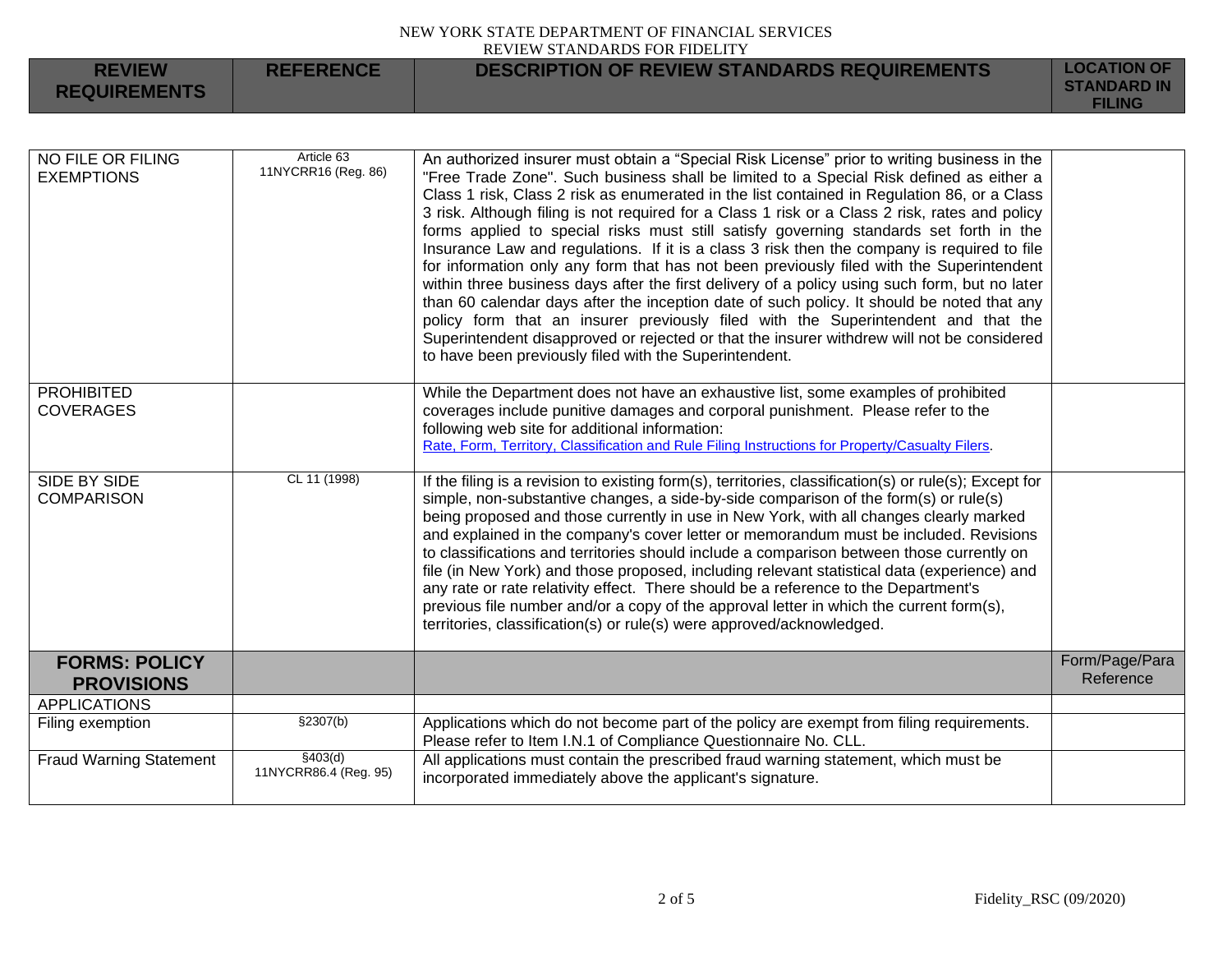| <b>REVIEW</b><br><b>REQUIREMENTS</b> | <b>REFERENCE</b> | <b>DESCRIPTION OF REVIEW STANDARDS REQUIREMENTS</b> | <b>LOCATION OF</b><br><b>STANDARD IN</b><br><b>FILING</b> |
|--------------------------------------|------------------|-----------------------------------------------------|-----------------------------------------------------------|
|                                      |                  |                                                     |                                                           |

| NO FILE OR FILING<br><b>EXEMPTIONS</b>    | Article 63<br>11NYCRR16 (Reg. 86) | An authorized insurer must obtain a "Special Risk License" prior to writing business in the<br>"Free Trade Zone". Such business shall be limited to a Special Risk defined as either a<br>Class 1 risk, Class 2 risk as enumerated in the list contained in Regulation 86, or a Class<br>3 risk. Although filing is not required for a Class 1 risk or a Class 2 risk, rates and policy<br>forms applied to special risks must still satisfy governing standards set forth in the<br>Insurance Law and regulations. If it is a class 3 risk then the company is required to file<br>for information only any form that has not been previously filed with the Superintendent<br>within three business days after the first delivery of a policy using such form, but no later<br>than 60 calendar days after the inception date of such policy. It should be noted that any<br>policy form that an insurer previously filed with the Superintendent and that the<br>Superintendent disapproved or rejected or that the insurer withdrew will not be considered<br>to have been previously filed with the Superintendent. |                             |
|-------------------------------------------|-----------------------------------|--------------------------------------------------------------------------------------------------------------------------------------------------------------------------------------------------------------------------------------------------------------------------------------------------------------------------------------------------------------------------------------------------------------------------------------------------------------------------------------------------------------------------------------------------------------------------------------------------------------------------------------------------------------------------------------------------------------------------------------------------------------------------------------------------------------------------------------------------------------------------------------------------------------------------------------------------------------------------------------------------------------------------------------------------------------------------------------------------------------------------|-----------------------------|
| <b>PROHIBITED</b><br><b>COVERAGES</b>     |                                   | While the Department does not have an exhaustive list, some examples of prohibited<br>coverages include punitive damages and corporal punishment. Please refer to the<br>following web site for additional information:<br>Rate, Form, Territory, Classification and Rule Filing Instructions for Property/Casualty Filers.                                                                                                                                                                                                                                                                                                                                                                                                                                                                                                                                                                                                                                                                                                                                                                                              |                             |
| SIDE BY SIDE<br><b>COMPARISON</b>         | CL 11 (1998)                      | If the filing is a revision to existing form(s), territories, classification(s) or rule(s); Except for<br>simple, non-substantive changes, a side-by-side comparison of the form(s) or rule(s)<br>being proposed and those currently in use in New York, with all changes clearly marked<br>and explained in the company's cover letter or memorandum must be included. Revisions<br>to classifications and territories should include a comparison between those currently on<br>file (in New York) and those proposed, including relevant statistical data (experience) and<br>any rate or rate relativity effect. There should be a reference to the Department's<br>previous file number and/or a copy of the approval letter in which the current form(s),<br>territories, classification(s) or rule(s) were approved/acknowledged.                                                                                                                                                                                                                                                                                 |                             |
| <b>FORMS: POLICY</b><br><b>PROVISIONS</b> |                                   |                                                                                                                                                                                                                                                                                                                                                                                                                                                                                                                                                                                                                                                                                                                                                                                                                                                                                                                                                                                                                                                                                                                          | Form/Page/Para<br>Reference |
| <b>APPLICATIONS</b>                       |                                   |                                                                                                                                                                                                                                                                                                                                                                                                                                                                                                                                                                                                                                                                                                                                                                                                                                                                                                                                                                                                                                                                                                                          |                             |
| Filing exemption                          | \$2307(b)                         | Applications which do not become part of the policy are exempt from filing requirements.<br>Please refer to Item I.N.1 of Compliance Questionnaire No. CLL.                                                                                                                                                                                                                                                                                                                                                                                                                                                                                                                                                                                                                                                                                                                                                                                                                                                                                                                                                              |                             |
| <b>Fraud Warning Statement</b>            | \$403(d)<br>11NYCRR86.4 (Reg. 95) | All applications must contain the prescribed fraud warning statement, which must be<br>incorporated immediately above the applicant's signature.                                                                                                                                                                                                                                                                                                                                                                                                                                                                                                                                                                                                                                                                                                                                                                                                                                                                                                                                                                         |                             |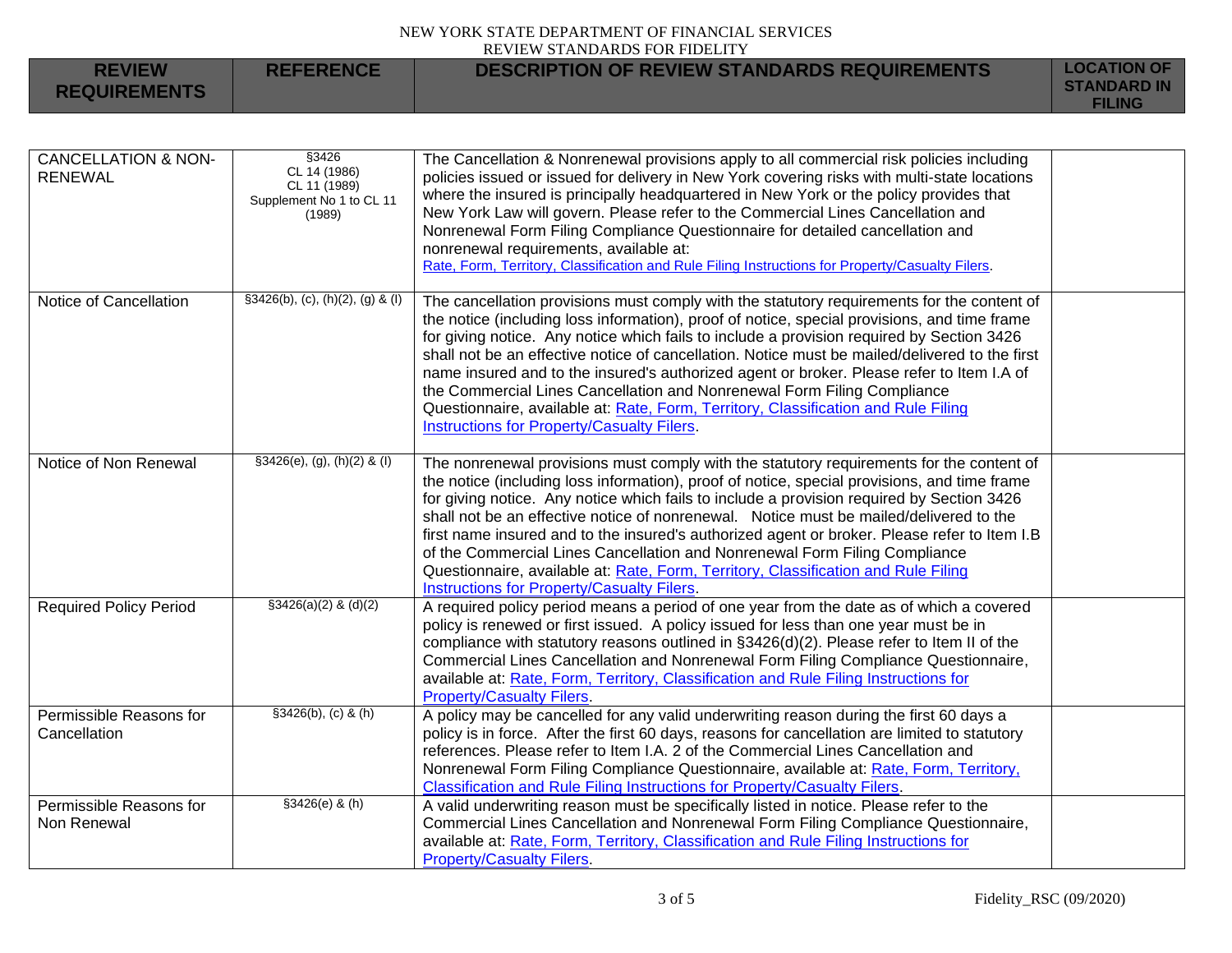| <b>REVIEW</b><br><b>REQUIREMENTS</b>             | <b>REFERENCE</b>                                                            | <b>DESCRIPTION OF REVIEW STANDARDS REQUIREMENTS</b>                                                                                                                                                                                                                                                                                                                                                                                                                                                                                                                                                                                                                                                      | <b>LOCATION OF</b><br><b>STANDARD IN</b><br><b>FILING</b> |
|--------------------------------------------------|-----------------------------------------------------------------------------|----------------------------------------------------------------------------------------------------------------------------------------------------------------------------------------------------------------------------------------------------------------------------------------------------------------------------------------------------------------------------------------------------------------------------------------------------------------------------------------------------------------------------------------------------------------------------------------------------------------------------------------------------------------------------------------------------------|-----------------------------------------------------------|
| <b>CANCELLATION &amp; NON-</b><br><b>RENEWAL</b> | §3426<br>CL 14 (1986)<br>CL 11 (1989)<br>Supplement No 1 to CL 11<br>(1989) | The Cancellation & Nonrenewal provisions apply to all commercial risk policies including<br>policies issued or issued for delivery in New York covering risks with multi-state locations<br>where the insured is principally headquartered in New York or the policy provides that<br>New York Law will govern. Please refer to the Commercial Lines Cancellation and<br>Nonrenewal Form Filing Compliance Questionnaire for detailed cancellation and<br>nonrenewal requirements, available at:<br>Rate, Form, Territory, Classification and Rule Filing Instructions for Property/Casualty Filers.                                                                                                     |                                                           |
| Notice of Cancellation                           | $§3426(b), (c), (h)(2), (g)$ & (I)                                          | The cancellation provisions must comply with the statutory requirements for the content of<br>the notice (including loss information), proof of notice, special provisions, and time frame<br>for giving notice. Any notice which fails to include a provision required by Section 3426<br>shall not be an effective notice of cancellation. Notice must be mailed/delivered to the first<br>name insured and to the insured's authorized agent or broker. Please refer to Item I.A of<br>the Commercial Lines Cancellation and Nonrenewal Form Filing Compliance<br>Questionnaire, available at: Rate, Form, Territory, Classification and Rule Filing<br>Instructions for Property/Casualty Filers.    |                                                           |
| Notice of Non Renewal                            | §3426(e), (g), (h)(2) & (l)                                                 | The nonrenewal provisions must comply with the statutory requirements for the content of<br>the notice (including loss information), proof of notice, special provisions, and time frame<br>for giving notice. Any notice which fails to include a provision required by Section 3426<br>shall not be an effective notice of nonrenewal. Notice must be mailed/delivered to the<br>first name insured and to the insured's authorized agent or broker. Please refer to Item I.B<br>of the Commercial Lines Cancellation and Nonrenewal Form Filing Compliance<br>Questionnaire, available at: Rate, Form, Territory, Classification and Rule Filing<br><b>Instructions for Property/Casualty Filers.</b> |                                                           |
| <b>Required Policy Period</b>                    | $$3426(a)(2)$ & (d)(2)                                                      | A required policy period means a period of one year from the date as of which a covered<br>policy is renewed or first issued. A policy issued for less than one year must be in<br>compliance with statutory reasons outlined in §3426(d)(2). Please refer to Item II of the<br>Commercial Lines Cancellation and Nonrenewal Form Filing Compliance Questionnaire,<br>available at: Rate, Form, Territory, Classification and Rule Filing Instructions for<br><b>Property/Casualty Filers.</b>                                                                                                                                                                                                           |                                                           |
| Permissible Reasons for<br>Cancellation          | \$3426(b), (c) & (h)                                                        | A policy may be cancelled for any valid underwriting reason during the first 60 days a<br>policy is in force. After the first 60 days, reasons for cancellation are limited to statutory<br>references. Please refer to Item I.A. 2 of the Commercial Lines Cancellation and<br>Nonrenewal Form Filing Compliance Questionnaire, available at: Rate, Form, Territory,<br>Classification and Rule Filing Instructions for Property/Casualty Filers.                                                                                                                                                                                                                                                       |                                                           |
| Permissible Reasons for<br>Non Renewal           | §3426(e) & (h)                                                              | A valid underwriting reason must be specifically listed in notice. Please refer to the<br>Commercial Lines Cancellation and Nonrenewal Form Filing Compliance Questionnaire,<br>available at: Rate, Form, Territory, Classification and Rule Filing Instructions for<br><b>Property/Casualty Filers.</b>                                                                                                                                                                                                                                                                                                                                                                                                 |                                                           |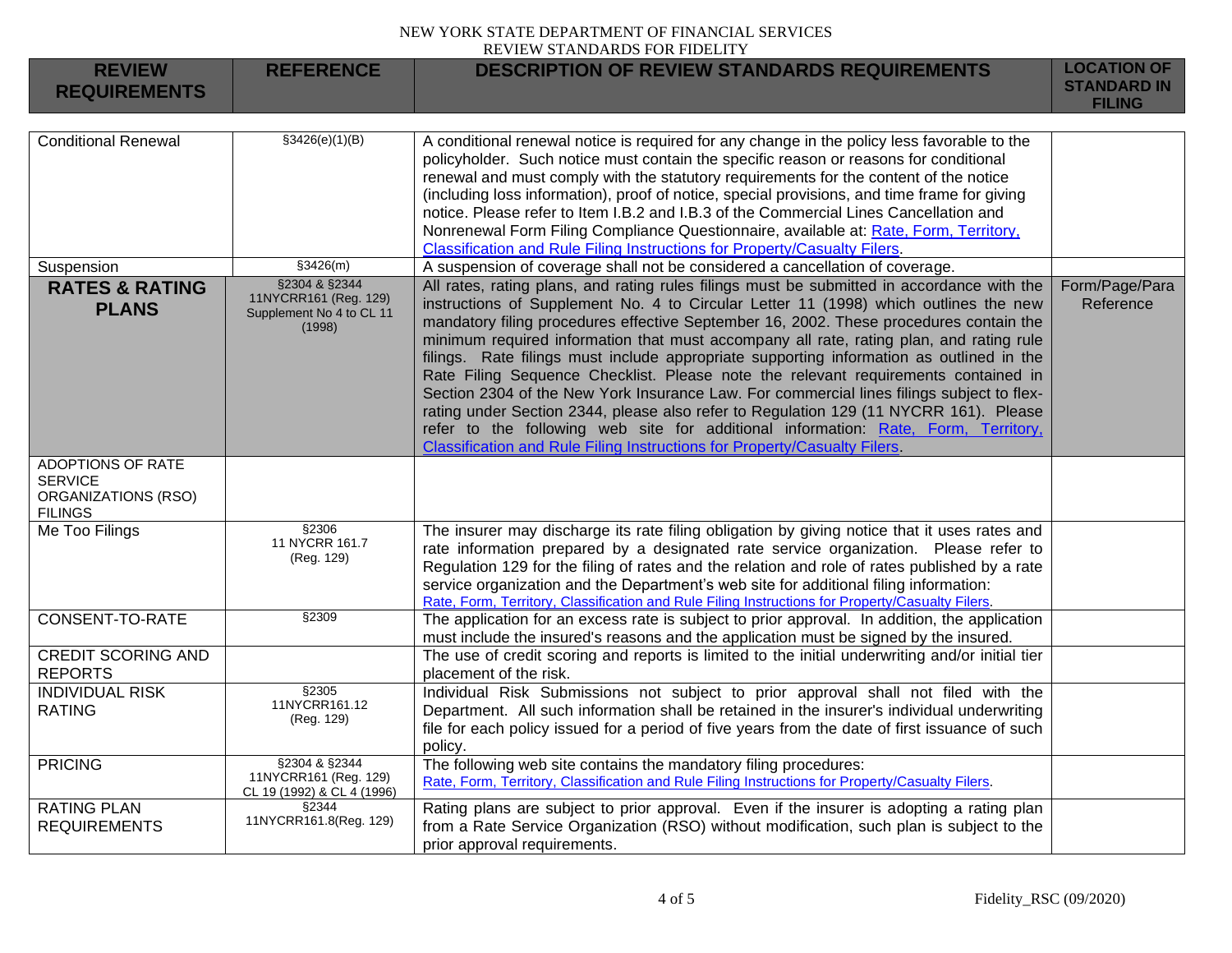| <b>REVIEW</b><br><b>REQUIREMENTS</b>                                                | <b>REFERENCE</b>                                                             | <b>DESCRIPTION OF REVIEW STANDARDS REQUIREMENTS</b>                                                                                                                                                                                                                                                                                                                                                                                                                                                                                                                                                                                                                                                                                                                                                                                                                                                                | <b>LOCATION OF</b><br><b>STANDARD IN</b><br><b>FILING</b> |
|-------------------------------------------------------------------------------------|------------------------------------------------------------------------------|--------------------------------------------------------------------------------------------------------------------------------------------------------------------------------------------------------------------------------------------------------------------------------------------------------------------------------------------------------------------------------------------------------------------------------------------------------------------------------------------------------------------------------------------------------------------------------------------------------------------------------------------------------------------------------------------------------------------------------------------------------------------------------------------------------------------------------------------------------------------------------------------------------------------|-----------------------------------------------------------|
|                                                                                     |                                                                              |                                                                                                                                                                                                                                                                                                                                                                                                                                                                                                                                                                                                                                                                                                                                                                                                                                                                                                                    |                                                           |
| <b>Conditional Renewal</b>                                                          | $\sqrt{(33426(e)(1)(B))}$                                                    | A conditional renewal notice is required for any change in the policy less favorable to the<br>policyholder. Such notice must contain the specific reason or reasons for conditional<br>renewal and must comply with the statutory requirements for the content of the notice<br>(including loss information), proof of notice, special provisions, and time frame for giving<br>notice. Please refer to Item I.B.2 and I.B.3 of the Commercial Lines Cancellation and<br>Nonrenewal Form Filing Compliance Questionnaire, available at: Rate, Form, Territory,<br>Classification and Rule Filing Instructions for Property/Casualty Filers.                                                                                                                                                                                                                                                                       |                                                           |
| Suspension                                                                          | \$3426(m)                                                                    | A suspension of coverage shall not be considered a cancellation of coverage.                                                                                                                                                                                                                                                                                                                                                                                                                                                                                                                                                                                                                                                                                                                                                                                                                                       |                                                           |
| <b>RATES &amp; RATING</b><br><b>PLANS</b>                                           | §2304 & §2344<br>11NYCRR161 (Reg. 129)<br>Supplement No 4 to CL 11<br>(1998) | All rates, rating plans, and rating rules filings must be submitted in accordance with the<br>instructions of Supplement No. 4 to Circular Letter 11 (1998) which outlines the new<br>mandatory filing procedures effective September 16, 2002. These procedures contain the<br>minimum required information that must accompany all rate, rating plan, and rating rule<br>filings. Rate filings must include appropriate supporting information as outlined in the<br>Rate Filing Sequence Checklist. Please note the relevant requirements contained in<br>Section 2304 of the New York Insurance Law. For commercial lines filings subject to flex-<br>rating under Section 2344, please also refer to Regulation 129 (11 NYCRR 161). Please<br>refer to the following web site for additional information: Rate, Form, Territory,<br>Classification and Rule Filing Instructions for Property/Casualty Filers. | Form/Page/Para<br>Reference                               |
| <b>ADOPTIONS OF RATE</b><br><b>SERVICE</b><br>ORGANIZATIONS (RSO)<br><b>FILINGS</b> |                                                                              |                                                                                                                                                                                                                                                                                                                                                                                                                                                                                                                                                                                                                                                                                                                                                                                                                                                                                                                    |                                                           |
| Me Too Filings                                                                      | \$2306<br>11 NYCRR 161.7<br>(Reg. 129)                                       | The insurer may discharge its rate filing obligation by giving notice that it uses rates and<br>rate information prepared by a designated rate service organization. Please refer to<br>Regulation 129 for the filing of rates and the relation and role of rates published by a rate<br>service organization and the Department's web site for additional filing information:<br>Rate, Form, Territory, Classification and Rule Filing Instructions for Property/Casualty Filers.                                                                                                                                                                                                                                                                                                                                                                                                                                 |                                                           |
| <b>CONSENT-TO-RATE</b>                                                              | \$2309                                                                       | The application for an excess rate is subject to prior approval. In addition, the application<br>must include the insured's reasons and the application must be signed by the insured.                                                                                                                                                                                                                                                                                                                                                                                                                                                                                                                                                                                                                                                                                                                             |                                                           |
| <b>CREDIT SCORING AND</b><br><b>REPORTS</b>                                         |                                                                              | The use of credit scoring and reports is limited to the initial underwriting and/or initial tier<br>placement of the risk.                                                                                                                                                                                                                                                                                                                                                                                                                                                                                                                                                                                                                                                                                                                                                                                         |                                                           |
| <b>INDIVIDUAL RISK</b><br><b>RATING</b>                                             | §2305<br>11NYCRR161.12<br>(Reg. 129)                                         | Individual Risk Submissions not subject to prior approval shall not filed with the<br>Department. All such information shall be retained in the insurer's individual underwriting<br>file for each policy issued for a period of five years from the date of first issuance of such<br>policy.                                                                                                                                                                                                                                                                                                                                                                                                                                                                                                                                                                                                                     |                                                           |
| <b>PRICING</b>                                                                      | §2304 & §2344<br>11NYCRR161 (Reg. 129)<br>CL 19 (1992) & CL 4 (1996)         | The following web site contains the mandatory filing procedures:<br>Rate, Form, Territory, Classification and Rule Filing Instructions for Property/Casualty Filers.                                                                                                                                                                                                                                                                                                                                                                                                                                                                                                                                                                                                                                                                                                                                               |                                                           |
| <b>RATING PLAN</b><br><b>REQUIREMENTS</b>                                           | §2344<br>11NYCRR161.8(Reg. 129)                                              | Rating plans are subject to prior approval. Even if the insurer is adopting a rating plan<br>from a Rate Service Organization (RSO) without modification, such plan is subject to the<br>prior approval requirements.                                                                                                                                                                                                                                                                                                                                                                                                                                                                                                                                                                                                                                                                                              |                                                           |